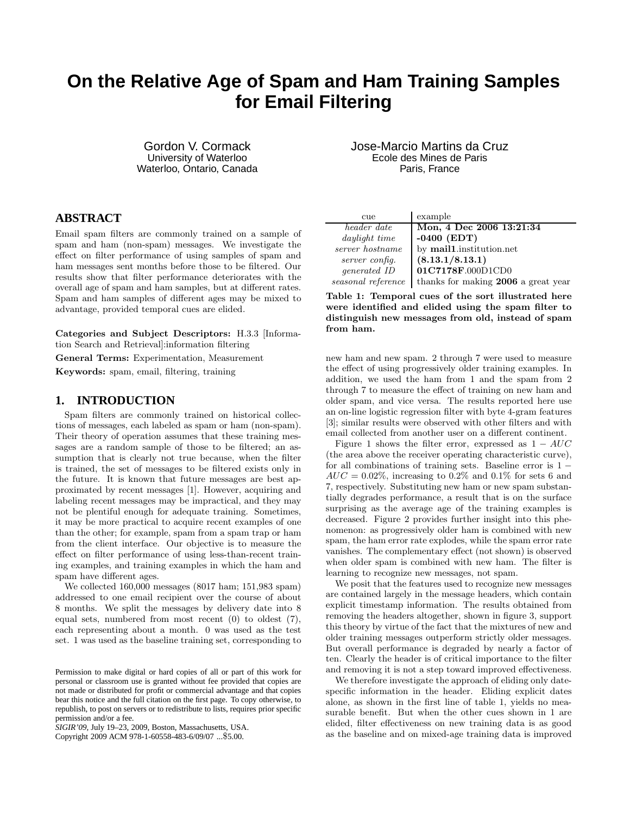# **On the Relative Age of Spam and Ham Training Samples for Email Filtering**

Gordon V. Cormack University of Waterloo Waterloo, Ontario, Canada

## **ABSTRACT**

Email spam filters are commonly trained on a sample of spam and ham (non-spam) messages. We investigate the effect on filter performance of using samples of spam and ham messages sent months before those to be filtered. Our results show that filter performance deteriorates with the overall age of spam and ham samples, but at different rates. Spam and ham samples of different ages may be mixed to advantage, provided temporal cues are elided.

Categories and Subject Descriptors: H.3.3 [Information Search and Retrieval]:information filtering

General Terms: Experimentation, Measurement

Keywords: spam, email, filtering, training

#### **1. INTRODUCTION**

Spam filters are commonly trained on historical collections of messages, each labeled as spam or ham (non-spam). Their theory of operation assumes that these training messages are a random sample of those to be filtered; an assumption that is clearly not true because, when the filter is trained, the set of messages to be filtered exists only in the future. It is known that future messages are best approximated by recent messages [1]. However, acquiring and labeling recent messages may be impractical, and they may not be plentiful enough for adequate training. Sometimes, it may be more practical to acquire recent examples of one than the other; for example, spam from a spam trap or ham from the client interface. Our objective is to measure the effect on filter performance of using less-than-recent training examples, and training examples in which the ham and spam have different ages.

We collected 160,000 messages (8017 ham; 151,983 spam) addressed to one email recipient over the course of about 8 months. We split the messages by delivery date into 8 equal sets, numbered from most recent (0) to oldest (7), each representing about a month. 0 was used as the test set. 1 was used as the baseline training set, corresponding to

Copyright 2009 ACM 978-1-60558-483-6/09/07 ...\$5.00.

Jose-Marcio Martins da Cruz Ecole des Mines de Paris Paris, France

| cue                | example                             |
|--------------------|-------------------------------------|
| header date        | Mon, 4 Dec 2006 13:21:34            |
| daylight time      | $-0400$ (EDT)                       |
| server hostname    | by mail1.institution.net            |
| server config.     | (8.13.1/8.13.1)                     |
| generated ID       | 01C7178F.000D1CD0                   |
| seasonal reference | thanks for making 2006 a great year |

Table 1: Temporal cues of the sort illustrated here were identified and elided using the spam filter to distinguish new messages from old, instead of spam from ham.

new ham and new spam. 2 through 7 were used to measure the effect of using progressively older training examples. In addition, we used the ham from 1 and the spam from 2 through 7 to measure the effect of training on new ham and older spam, and vice versa. The results reported here use an on-line logistic regression filter with byte 4-gram features [3]; similar results were observed with other filters and with email collected from another user on a different continent.

Figure 1 shows the filter error, expressed as  $1 - AUC$ (the area above the receiver operating characteristic curve), for all combinations of training sets. Baseline error is 1 −  $AUC = 0.02\%$ , increasing to 0.2\% and 0.1\% for sets 6 and 7, respectively. Substituting new ham or new spam substantially degrades performance, a result that is on the surface surprising as the average age of the training examples is decreased. Figure 2 provides further insight into this phenomenon: as progressively older ham is combined with new spam, the ham error rate explodes, while the spam error rate vanishes. The complementary effect (not shown) is observed when older spam is combined with new ham. The filter is learning to recognize new messages, not spam.

We posit that the features used to recognize new messages are contained largely in the message headers, which contain explicit timestamp information. The results obtained from removing the headers altogether, shown in figure 3, support this theory by virtue of the fact that the mixtures of new and older training messages outperform strictly older messages. But overall performance is degraded by nearly a factor of ten. Clearly the header is of critical importance to the filter and removing it is not a step toward improved effectiveness.

We therefore investigate the approach of eliding only datespecific information in the header. Eliding explicit dates alone, as shown in the first line of table 1, yields no measurable benefit. But when the other cues shown in 1 are elided, filter effectiveness on new training data is as good as the baseline and on mixed-age training data is improved

Permission to make digital or hard copies of all or part of this work for personal or classroom use is granted without fee provided that copies are not made or distributed for profit or commercial advantage and that copies bear this notice and the full citation on the first page. To copy otherwise, to republish, to post on servers or to redistribute to lists, requires prior specific permission and/or a fee.

*SIGIR'09,* July 19–23, 2009, Boston, Massachusetts, USA.